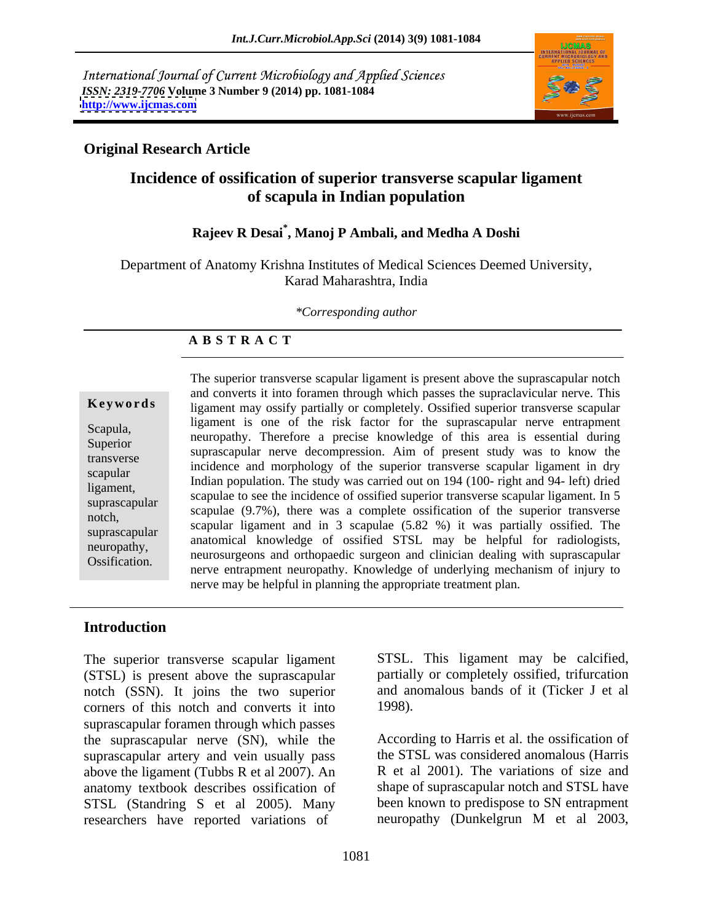International Journal of Current Microbiology and Applied Sciences *ISSN: 2319-7706* **Volume 3 Number 9 (2014) pp. 1081-1084 <http://www.ijcmas.com>**



### **Original Research Article**

# **Incidence of ossification of superior transverse scapular ligament of scapula in Indian population**

## **Rajeev R Desai\* , Manoj P Ambali, and Medha A Doshi**

Department of Anatomy Krishna Institutes of Medical Sciences Deemed University, Karad Maharashtra, India

*\*Corresponding author* 

### **A B S T R A C T**

**Keywords** ligament may ossify partially or completely. Ossified superior transverse scapular Scapula, neuropathy. Therefore a precise knowledge of this area is essential during Superior and the effective a precise knowledge of this area is essential during<br>transverse suprascapular nerve decompression. Aim of present study was to know the transverse suprascapular liet ve decomplession. All to present study was to know the<br>exampler incidence and morphology of the superior transverse scapular ligament in dry scapular and independence in the superior transverse scapular in the diversion of the study was carried out on 194 (100- right and 94- left) dried ligament,<br>
scapulae to see the incidence of ossified superior transverse scapular ligament. In 5 suprascapular scapulae to see the incluence of ossification dansverse scapular inglation. In 5<br>scapulae (9.7%), there was a complete ossification of the superior transverse notch,<br>
scapular ligament and in 3 scapulae (5.82 %) it was partially ossified. The suprascapular scapular hydrodecomes anatomical knowledge of ossified STSL may be helpful for radiologists, neuropathy,<br>
neurosurgeons and orthopaedic surgeon and clinician dealing with suprascapular Ossification. nerve entrapment neuropathy.Knowledge of underlying mechanism of injury to The superior transverse scapular ligament is present above the suprascapular notch and converts it into foramen through which passes the supraclavicular nerve. This ligament is one of the risk factor for the suprascapular nerve entrapment nerve may be helpful in planning the appropriate treatment plan.

### **Introduction**

The superior transverse scapular ligament (STSL) is present above the suprascapular notch (SSN). It joins the two superior and an corners of this notch and converts it into 1998). corners of this notch and converts it into suprascapular foramen through which passes the suprascapular nerve (SN), while the According to Harris et al. the ossification of suprascapular artery and vein usually pass above the ligament (Tubbs R et al 2007). An anatomy textbook describes ossification of STSL (Standring S et al 2005). Many researchers have reported variations of

STSL. This ligament may be calcified, partially or completely ossified, trifurcation and anomalous bands of it (Ticker J et al

1998).<br>According to Harris et al. the ossification of the STSL was considered anomalous (Harris R et al 2001). The variations of size and shape of suprascapular notch and STSL have been known to predispose to SN entrapment neuropathy (Dunkelgrun M et al 2003,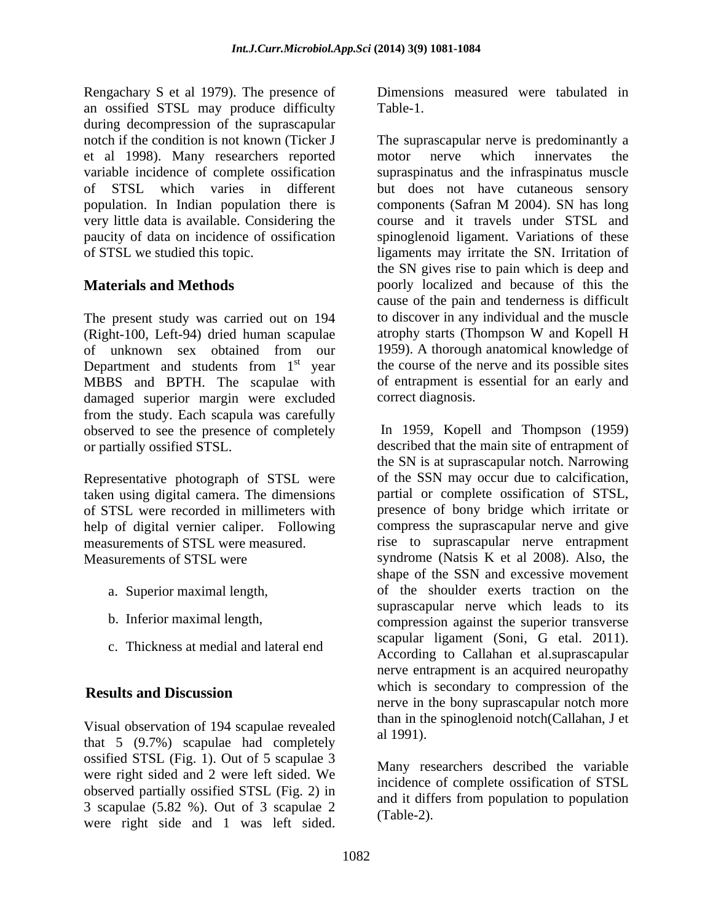Rengachary S et al 1979). The presence of an ossified STSL may produce difficulty during decompression of the suprascapular et al 1998). Many researchers reported population. In Indian population there is components (Safran M 2004). SN has long very little data is available. Considering the paucity of data on incidence of ossification

The present study was carried out on 194 to discover in any individual and the muscle (Right-100, Left-94) dried human scapulae atrophy starts (Thompson W and Kopell H (Right-100, Left-94) dried human scapulae of unknown sex obtained from our Department and students from  $1<sup>st</sup>$  year MBBS and BPTH. The scapulae with damaged superior margin were excluded from the study. Each scapula was carefully observed to see the presence of completely

Representative photograph of STSL were taken using digital camera. The dimensions of STSL were recorded in millimeters with

- 
- 
- c. Thickness at medial and lateral end

Visual observation of 194 scapulae revealed  $\frac{du}{dt}$  al 1991). that 5 (9.7%) scapulae had completely ossified STSL (Fig. 1). Out of 5 scapulae 3 were right sided and 2 were left sided. We observed partially ossified STSL (Fig. 2) in 3 scapulae (5.82 %). Out of 3 scapulae 2

Table-1.

notch if the condition is not known (Ticker J The suprascapular nerve is predominantly a variable incidence of complete ossification supraspinatus and the infraspinatus muscle of STSL which varies in different but does not have cutaneous sensory of STSL we studied this topic. ligaments may irritate the SN. Irritation of **Materials and Methods poorly localized and because of this the** st year the course of the nerve and its possible sites motor nerve which innervates the components (Safran M 2004). SN has long course and it travels under STSL and spinoglenoid ligament. Variations of these the SN gives rise to pain which is deep and cause of the pain and tenderness is difficult to discover in any individual and the muscle atrophy starts (Thompson W and Kopell H 1959). A thorough anatomical knowledge of of entrapment is essential for an early and correct diagnosis.

or partially ossified STSL. described that the main site of entrapment of help of digital vernier caliper. Following compress the suprascapular nerve and give measurements of STSL were measured. The rise to suprascapular nerve entrapment Measurements of STSL were syndrome (Natsis K et al 2008). Also, the a. Superior maximal length, of the shoulder exerts traction on the b. Inferior maximal length, compression against the superior transverse **Results and Discussion** Representative and interaction of the state-side of the state interaction of the state of the state of the state of the state side of STSL, which was left since the state of the state of the state of the state of the stat In 1959, Kopell and Thompson (1959) the SN is at suprascapular notch. Narrowing of the SSN may occur due to calcification, partial or complete ossification of STSL, presence of bony bridge which irritate or shape of the SSN and excessive movement suprascapular nerve which leads to its scapular ligament (Soni, G etal. 2011). According to Callahan et al.suprascapular nerve entrapment is an acquired neuropathy which is secondary to compression of the nerve in the bony suprascapular notch more than in the spinoglenoid notch(Callahan, J et al 1991).

Many researchers described the variable incidence of complete ossification of STSL and it differs from population to population (Table-2).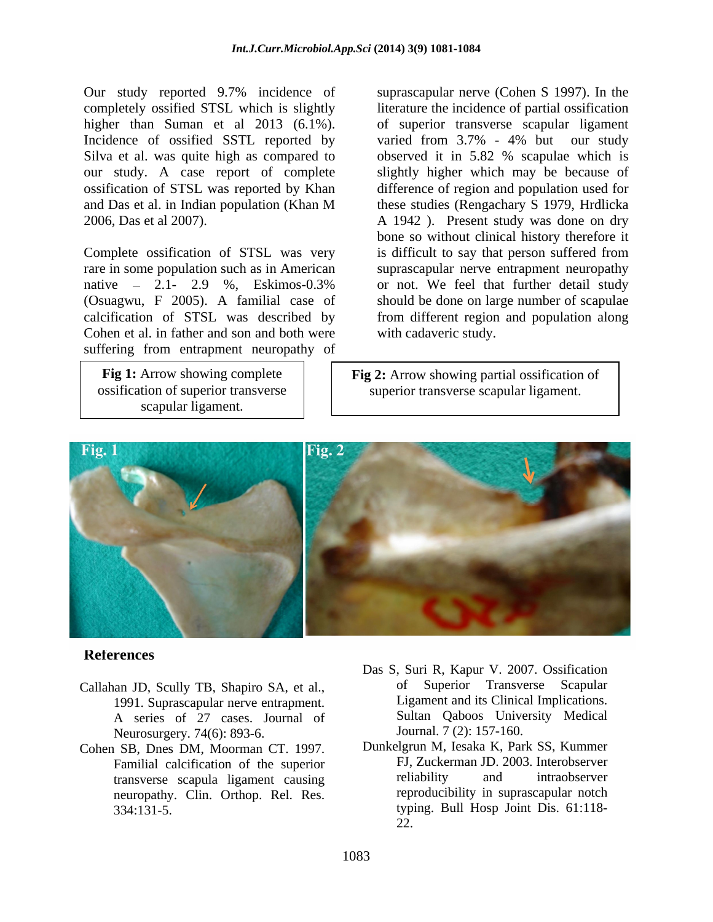Our study reported 9.7% incidence of completely ossified STSL which is slightly higher than Suman et al 2013 (6.1%). of superior transverse scapular ligament Incidence of ossified SSTL reported by varied from 3.7% - 4% but our study Silva et al. was quite high as compared to bserved it in 5.82 % scapulae which is our study. A case report of complete slightly higher which may be because of ossification of STSL was reported by Khan difference of region and population used for and Das et al. in Indian population (Khan M 2006, Das et al 2007). A 1942 ). Present study was done on dry

Complete ossification of STSL was very (Osuagwu, F 2005). A familial case of Cohen et al. in father and son and both were suffering from entrapment neuropathy of

scapular ligament.

rare in some population such as in American suprascapular nerve entrapment neuropathy native 2.1- 2.9 %, Eskimos-0.3% or not. We feel that further detail study calcification of STSL was described by from different region and population along suprascapular nerve (Cohen S 1997). In the literature the incidence of partial ossification observed it in 5.82 % scapulae which is these studies (Rengachary S 1979, Hrdlicka bone so without clinical history therefore it is difficult to say that person suffered from should be done on large number of scapulae with cadaveric study.

**Fig 1:** Arrow showing complete **Fig 2:** Arrow showing partial ossification of ossification of superior transverse  $\vert \cdot \vert$  superior transverse scapular ligament.



### **References**

- Callahan JD, Scully TB, Shapiro SA, et al., 1991. Suprascapular nerve entrapment. A series of 27 cases. Journal of Neurosurgery. 74(6): 893-6.
- Cohen SB, Dnes DM, Moorman CT. 1997. transverse scapula ligament causing neuropathy. Clin. Orthop. Rel. Res.
- Das S, Suri R, Kapur V. 2007. Ossification of Superior Transverse Scapular Ligament and its Clinical Implications. Sultan Qaboos University Medical Journal. 7 (2): 157-160.
- Familial calcification of the superior FJ, Zuckerman JD. 2003. Interobserver<br>transverse scapula ligament causing reliability and intraobserver 334:131-5. typing. Bull Hosp Joint Dis. 61:118- Dunkelgrun M, Iesaka K, Park SS, Kummer FJ, Zuckerman JD. 2003. Interobserver reliability and intraobserver reproducibility in suprascapular notch 22.